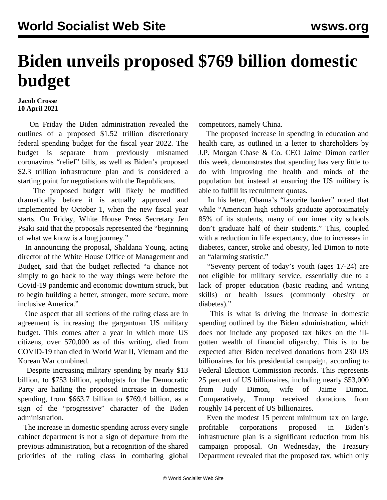## **Biden unveils proposed \$769 billion domestic budget**

## **Jacob Crosse 10 April 2021**

 On Friday the Biden administration revealed the outlines of a proposed \$1.52 trillion discretionary federal spending budget for the fiscal year 2022. The budget is separate from previously misnamed coronavirus "relief" bills, as well as Biden's proposed \$2.3 trillion infrastructure plan and is considered a starting point for negotiations with the Republicans.

 The proposed budget will likely be modified dramatically before it is actually approved and implemented by October 1, when the new fiscal year starts. On Friday, White House Press Secretary Jen Psaki said that the proposals represented the "beginning of what we know is a long journey."

 In announcing the proposal, Shaldana Young, acting director of the White House Office of Management and Budget, said that the budget reflected "a chance not simply to go back to the way things were before the Covid-19 pandemic and economic downturn struck, but to begin building a better, stronger, more secure, more inclusive America."

 One aspect that all sections of the ruling class are in agreement is increasing the gargantuan US military budget. This comes after a year in which more US citizens, over 570,000 as of this writing, died from COVID-19 than died in World War II, Vietnam and the Korean War combined.

 Despite increasing military spending by nearly \$13 billion, to \$753 billion, apologists for the Democratic Party are hailing the proposed increase in domestic spending, from \$663.7 billion to \$769.4 billion, as a sign of the "progressive" character of the Biden administration.

 The increase in domestic spending across every single cabinet department is not a sign of departure from the previous administration, but a recognition of the shared priorities of the ruling class in combating global competitors, namely China.

 The proposed increase in spending in education and health care, as outlined in a letter to shareholders by J.P. Morgan Chase & Co. CEO Jaime Dimon earlier this week, demonstrates that spending has very little to do with improving the health and minds of the population but instead at ensuring the US military is able to fulfill its recruitment quotas.

 In his letter, Obama's "favorite banker" noted that while "American high schools graduate approximately 85% of its students, many of our inner city schools don't graduate half of their students." This, coupled with a reduction in life expectancy, due to increases in diabetes, cancer, stroke and obesity, led Dimon to note an "alarming statistic."

 "Seventy percent of today's youth (ages 17-24) are not eligible for military service, essentially due to a lack of proper education (basic reading and writing skills) or health issues (commonly obesity or diabetes)."

 This is what is driving the increase in domestic spending outlined by the Biden administration, which does not include any proposed tax hikes on the illgotten wealth of financial oligarchy. This is to be expected after Biden received donations from 230 US billionaires for his presidential campaign, according to Federal Election Commission records. This represents 25 percent of US billionaires, including nearly \$53,000 from Judy Dimon, wife of Jaime Dimon. Comparatively, Trump received donations from roughly 14 percent of US billionaires.

 Even the modest 15 percent minimum tax on large, profitable corporations proposed in Biden's infrastructure plan is a significant reduction from his campaign proposal. On Wednesday, the Treasury Department revealed that the proposed tax, which only